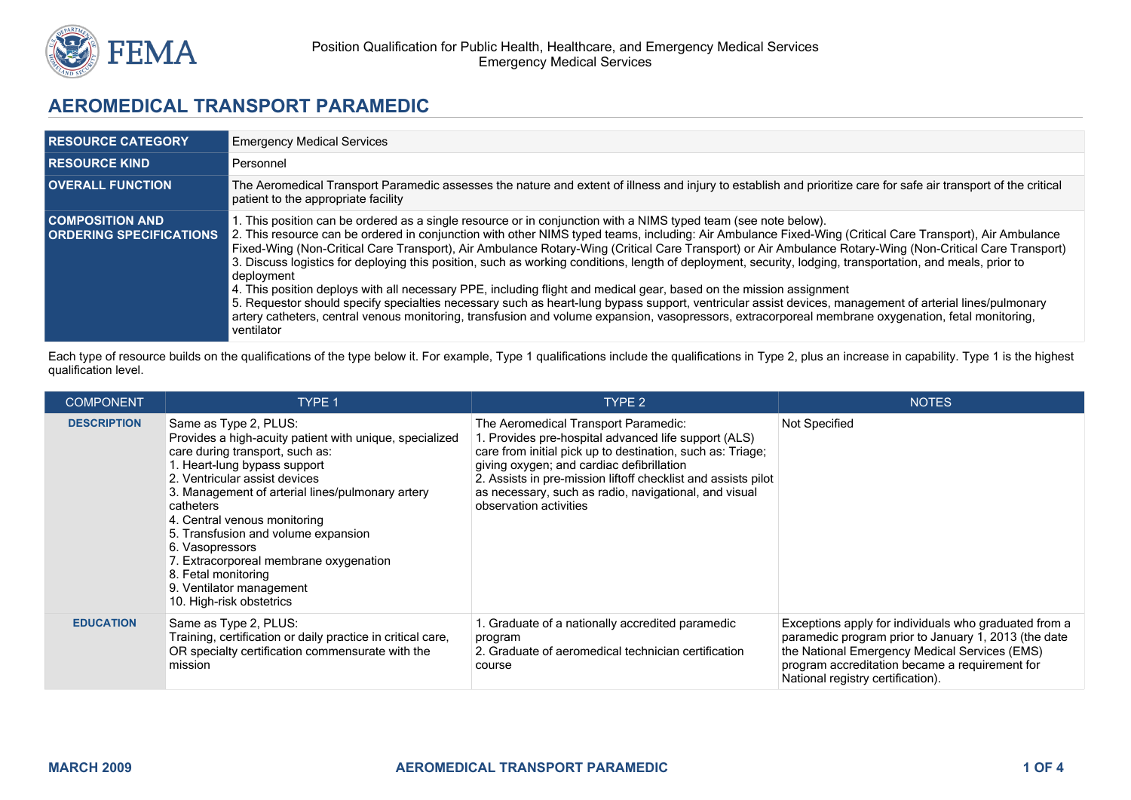

# **AEROMEDICAL TRANSPORT PARAMEDIC**

| <b>RESOURCE CATEGORY</b>                                 | <b>Emergency Medical Services</b>                                                                                                                                                                                                                                                                                                                                                                                                                                                                                                                                                                                                                                                                                                                                                                                                                                                                                                                                                                                                                                         |  |  |
|----------------------------------------------------------|---------------------------------------------------------------------------------------------------------------------------------------------------------------------------------------------------------------------------------------------------------------------------------------------------------------------------------------------------------------------------------------------------------------------------------------------------------------------------------------------------------------------------------------------------------------------------------------------------------------------------------------------------------------------------------------------------------------------------------------------------------------------------------------------------------------------------------------------------------------------------------------------------------------------------------------------------------------------------------------------------------------------------------------------------------------------------|--|--|
| <b>RESOURCE KIND</b>                                     | Personnel                                                                                                                                                                                                                                                                                                                                                                                                                                                                                                                                                                                                                                                                                                                                                                                                                                                                                                                                                                                                                                                                 |  |  |
| <b>OVERALL FUNCTION</b>                                  | The Aeromedical Transport Paramedic assesses the nature and extent of illness and injury to establish and prioritize care for safe air transport of the critical<br>patient to the appropriate facility                                                                                                                                                                                                                                                                                                                                                                                                                                                                                                                                                                                                                                                                                                                                                                                                                                                                   |  |  |
| <b>COMPOSITION AND</b><br><b>ORDERING SPECIFICATIONS</b> | . This position can be ordered as a single resource or in conjunction with a NIMS typed team (see note below).<br>2. This resource can be ordered in conjunction with other NIMS typed teams, including: Air Ambulance Fixed-Wing (Critical Care Transport), Air Ambulance<br>Fixed-Wing (Non-Critical Care Transport), Air Ambulance Rotary-Wing (Critical Care Transport) or Air Ambulance Rotary-Wing (Non-Critical Care Transport)<br>3. Discuss logistics for deploying this position, such as working conditions, length of deployment, security, lodging, transportation, and meals, prior to<br>deployment<br>4. This position deploys with all necessary PPE, including flight and medical gear, based on the mission assignment<br>5. Requestor should specify specialties necessary such as heart-lung bypass support, ventricular assist devices, management of arterial lines/pulmonary<br>artery catheters, central venous monitoring, transfusion and volume expansion, vasopressors, extracorporeal membrane oxygenation, fetal monitoring,<br>ventilator |  |  |

Each type of resource builds on the qualifications of the type below it. For example, Type 1 qualifications include the qualifications in Type 2, plus an increase in capability. Type 1 is the highest qualification level.

| <b>COMPONENT</b>   | <b>TYPE 1</b>                                                                                                                                                                                                                                                                                                                                                                                                                                                            | TYPE 2                                                                                                                                                                                                                                                                                                                                                      | <b>NOTES</b>                                                                                                                                                                                                                                          |
|--------------------|--------------------------------------------------------------------------------------------------------------------------------------------------------------------------------------------------------------------------------------------------------------------------------------------------------------------------------------------------------------------------------------------------------------------------------------------------------------------------|-------------------------------------------------------------------------------------------------------------------------------------------------------------------------------------------------------------------------------------------------------------------------------------------------------------------------------------------------------------|-------------------------------------------------------------------------------------------------------------------------------------------------------------------------------------------------------------------------------------------------------|
| <b>DESCRIPTION</b> | Same as Type 2, PLUS:<br>Provides a high-acuity patient with unique, specialized<br>care during transport, such as:<br>1. Heart-lung bypass support<br>2. Ventricular assist devices<br>3. Management of arterial lines/pulmonary artery<br>catheters<br>4. Central venous monitoring<br>5. Transfusion and volume expansion<br>6. Vasopressors<br>7. Extracorporeal membrane oxygenation<br>8. Fetal monitoring<br>9. Ventilator management<br>10. High-risk obstetrics | The Aeromedical Transport Paramedic:<br>1. Provides pre-hospital advanced life support (ALS)<br>care from initial pick up to destination, such as: Triage;<br>giving oxygen; and cardiac defibrillation<br>2. Assists in pre-mission liftoff checklist and assists pilot<br>as necessary, such as radio, navigational, and visual<br>observation activities | Not Specified                                                                                                                                                                                                                                         |
| <b>EDUCATION</b>   | Same as Type 2, PLUS:<br>Training, certification or daily practice in critical care,<br>OR specialty certification commensurate with the<br>mission                                                                                                                                                                                                                                                                                                                      | 1. Graduate of a nationally accredited paramedic<br>program<br>2. Graduate of aeromedical technician certification<br>course                                                                                                                                                                                                                                | Exceptions apply for individuals who graduated from a<br>paramedic program prior to January 1, 2013 (the date<br>the National Emergency Medical Services (EMS)<br>program accreditation became a requirement for<br>National registry certification). |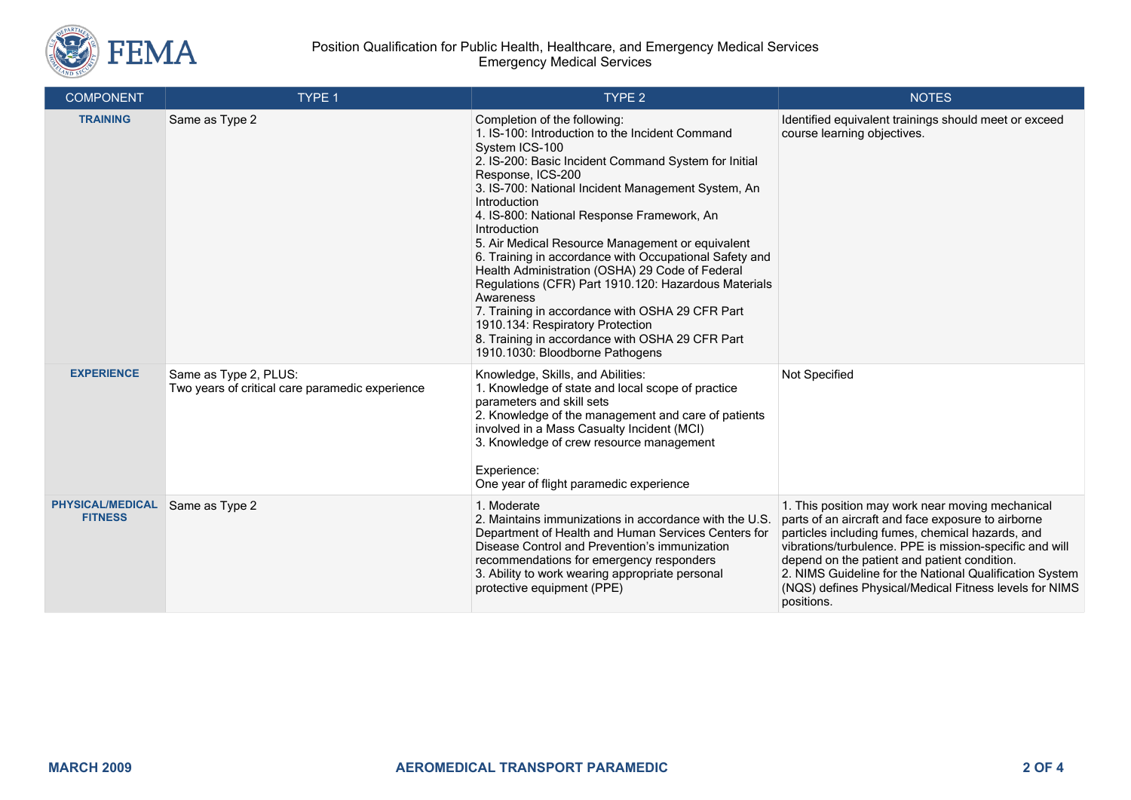

#### Position Qualification for Public Health, Healthcare, and Emergency Medical Services Emergency Medical Services

| <b>COMPONENT</b>                          | TYPE 1                                                                   | TYPE <sub>2</sub>                                                                                                                                                                                                                                                                                                                                                                                                                                                                                                                                                                                                                                                                                                                     | <b>NOTES</b>                                                                                                                                                                                                                                                                                                                                                                                             |
|-------------------------------------------|--------------------------------------------------------------------------|---------------------------------------------------------------------------------------------------------------------------------------------------------------------------------------------------------------------------------------------------------------------------------------------------------------------------------------------------------------------------------------------------------------------------------------------------------------------------------------------------------------------------------------------------------------------------------------------------------------------------------------------------------------------------------------------------------------------------------------|----------------------------------------------------------------------------------------------------------------------------------------------------------------------------------------------------------------------------------------------------------------------------------------------------------------------------------------------------------------------------------------------------------|
| <b>TRAINING</b>                           | Same as Type 2                                                           | Completion of the following:<br>1. IS-100: Introduction to the Incident Command<br>System ICS-100<br>2. IS-200: Basic Incident Command System for Initial<br>Response, ICS-200<br>3. IS-700: National Incident Management System, An<br>Introduction<br>4. IS-800: National Response Framework, An<br>Introduction<br>5. Air Medical Resource Management or equivalent<br>6. Training in accordance with Occupational Safety and<br>Health Administration (OSHA) 29 Code of Federal<br>Regulations (CFR) Part 1910.120: Hazardous Materials<br>Awareness<br>7. Training in accordance with OSHA 29 CFR Part<br>1910.134: Respiratory Protection<br>8. Training in accordance with OSHA 29 CFR Part<br>1910.1030: Bloodborne Pathogens | Identified equivalent trainings should meet or exceed<br>course learning objectives.                                                                                                                                                                                                                                                                                                                     |
| <b>EXPERIENCE</b>                         | Same as Type 2, PLUS:<br>Two years of critical care paramedic experience | Knowledge, Skills, and Abilities:<br>1. Knowledge of state and local scope of practice<br>parameters and skill sets<br>2. Knowledge of the management and care of patients<br>involved in a Mass Casualty Incident (MCI)<br>3. Knowledge of crew resource management<br>Experience:<br>One year of flight paramedic experience                                                                                                                                                                                                                                                                                                                                                                                                        | Not Specified                                                                                                                                                                                                                                                                                                                                                                                            |
| <b>PHYSICAL/MEDICAL</b><br><b>FITNESS</b> | Same as Type 2                                                           | 1. Moderate<br>2. Maintains immunizations in accordance with the U.S.<br>Department of Health and Human Services Centers for<br>Disease Control and Prevention's immunization<br>recommendations for emergency responders<br>3. Ability to work wearing appropriate personal<br>protective equipment (PPE)                                                                                                                                                                                                                                                                                                                                                                                                                            | 1. This position may work near moving mechanical<br>parts of an aircraft and face exposure to airborne<br>particles including fumes, chemical hazards, and<br>vibrations/turbulence. PPE is mission-specific and will<br>depend on the patient and patient condition.<br>2. NIMS Guideline for the National Qualification System<br>(NQS) defines Physical/Medical Fitness levels for NIMS<br>positions. |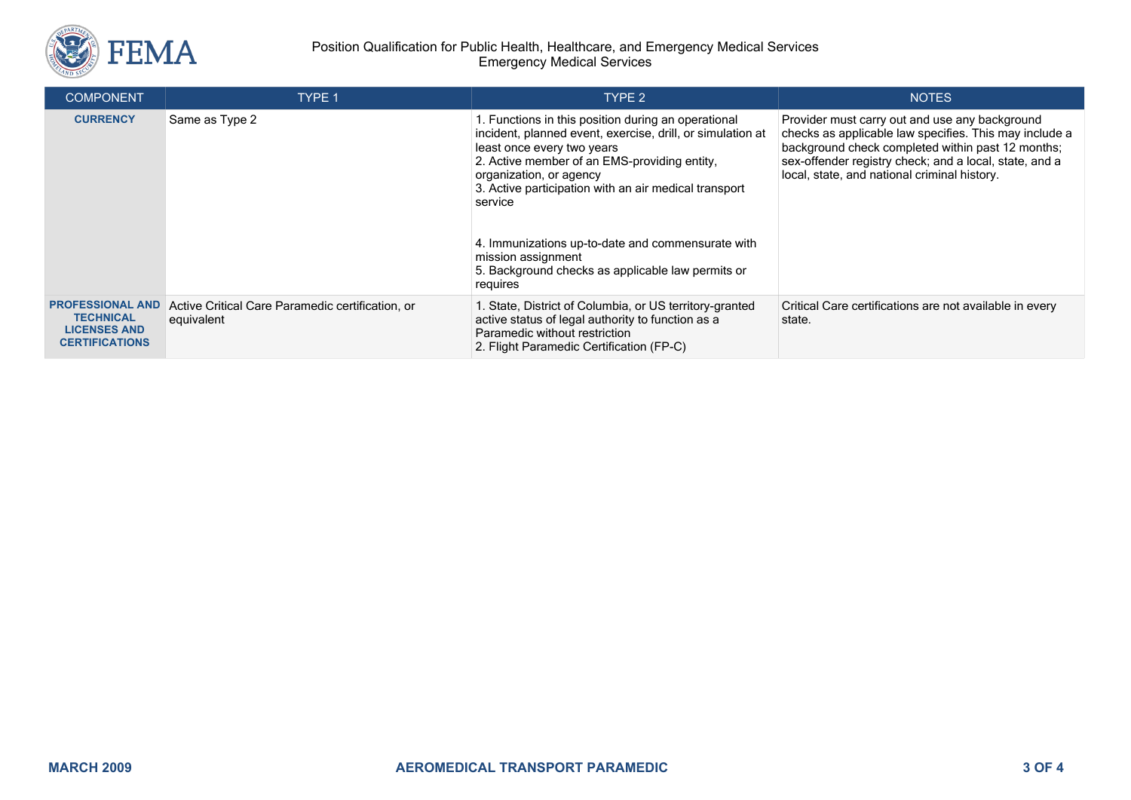

#### Position Qualification for Public Health, Healthcare, and Emergency Medical Services Emergency Medical Services

| <b>COMPONENT</b>                             | <b>TYPE 1</b>                                                  | TYPE 2                                                                                                                                                                                                                                                                                                                                                                                                                                     | <b>NOTES</b>                                                                                                                                                                                                                                                            |
|----------------------------------------------|----------------------------------------------------------------|--------------------------------------------------------------------------------------------------------------------------------------------------------------------------------------------------------------------------------------------------------------------------------------------------------------------------------------------------------------------------------------------------------------------------------------------|-------------------------------------------------------------------------------------------------------------------------------------------------------------------------------------------------------------------------------------------------------------------------|
| <b>CURRENCY</b>                              | Same as Type 2                                                 | 1. Functions in this position during an operational<br>incident, planned event, exercise, drill, or simulation at<br>least once every two years<br>2. Active member of an EMS-providing entity,<br>organization, or agency<br>3. Active participation with an air medical transport<br>service<br>4. Immunizations up-to-date and commensurate with<br>mission assignment<br>5. Background checks as applicable law permits or<br>requires | Provider must carry out and use any background<br>checks as applicable law specifies. This may include a<br>background check completed within past 12 months;<br>sex-offender registry check; and a local, state, and a<br>local, state, and national criminal history. |
| <b>PROFESSIONAL AND</b><br><b>TECHNICAL</b>  | Active Critical Care Paramedic certification, or<br>equivalent | 1. State, District of Columbia, or US territory-granted<br>active status of legal authority to function as a                                                                                                                                                                                                                                                                                                                               | Critical Care certifications are not available in every<br>state.                                                                                                                                                                                                       |
| <b>LICENSES AND</b><br><b>CERTIFICATIONS</b> |                                                                | Paramedic without restriction<br>2. Flight Paramedic Certification (FP-C)                                                                                                                                                                                                                                                                                                                                                                  |                                                                                                                                                                                                                                                                         |